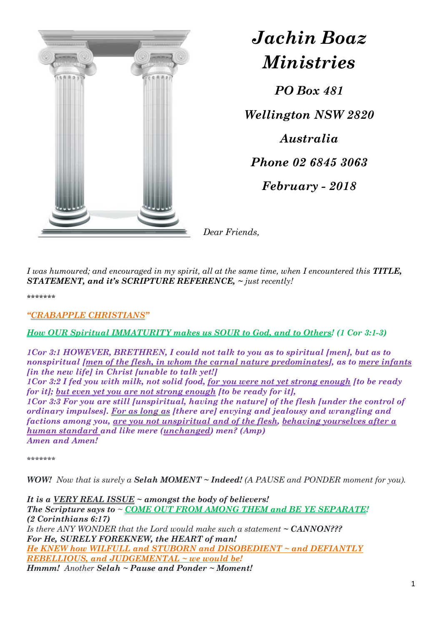

*Jachin Boaz Ministries*

*PO Box 481 Wellington NSW 2820 Australia Phone 02 6845 3063 February - 2018*

*Dear Friends,*

*I was humoured; and encouraged in my spirit, all at the same time, when I encountered this TITLE, STATEMENT, and it's SCRIPTURE REFERENCE, ~ just recently!*

*\*\*\*\*\*\*\**

*"CRABAPPLE CHRISTIANS"*

*How OUR Spiritual IMMATURITY makes us SOUR to God, and to Others! (1 Cor 3:1-3)*

*1Cor 3:1 HOWEVER, BRETHREN, I could not talk to you as to spiritual [men], but as to nonspiritual [men of the flesh, in whom the carnal nature predominates], as to mere infants [in the new life] in Christ [unable to talk yet!] 1Cor 3:2 I fed you with milk, not solid food, for you were not yet strong enough [to be ready* 

*for it]; but even yet you are not strong enough [to be ready for it], 1Cor 3:3 For you are still [unspiritual, having the nature] of the flesh [under the control of ordinary impulses]. For as long as [there are] envying and jealousy and wrangling and factions among you, are you not unspiritual and of the flesh, behaving yourselves after a* 

*human standard and like mere (unchanged) men? (Amp) Amen and Amen!*

*\*\*\*\*\*\*\**

*WOW! Now that is surely a Selah MOMENT ~ Indeed! (A PAUSE and PONDER moment for you).*

*It is a VERY REAL ISSUE ~ amongst the body of believers! The Scripture says to ~ COME OUT FROM AMONG THEM and BE YE SEPARATE! (2 Corinthians 6:17) Is there ANY WONDER that the Lord would make such a statement ~ CANNON??? For He, SURELY FOREKNEW, the HEART of man! He KNEW how WILFULL and STUBORN and DISOBEDIENT ~ and DEFIANTLY REBELLIOUS, and JUDGEMENTAL ~ we would be! Hmmm! Another Selah ~ Pause and Ponder ~ Moment!*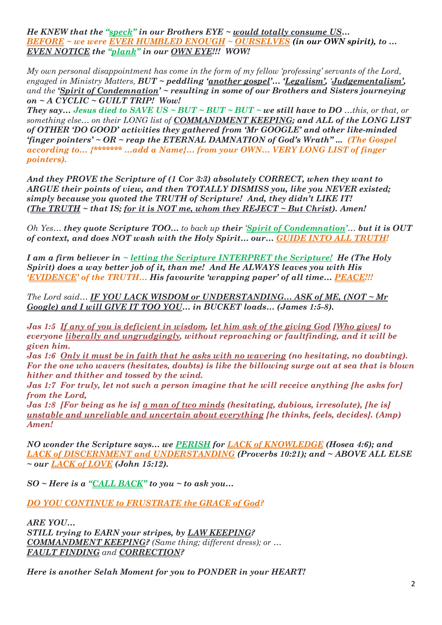*He KNEW that the "speck" in our Brothers EYE ~ would totally consume US… BEFORE ~ we were EVER HUMBLED ENOUGH ~ OURSELVES (in our OWN spirit), to … EVEN NOTICE the "plank" in our OWN EYE!!! WOW!* 

*My own personal disappointment has come in the form of my fellow 'professing' servants of the Lord, engaged in Ministry Matters, BUT ~ peddling 'another gospel'… 'Legalism', 'Judgementalism', and the 'Spirit of Condemnation' ~ resulting in some of our Brothers and Sisters journeying on ~ A CYCLIC ~ GUILT TRIP! Wow!* 

*They say... Jesus died to SAVE US ~ BUT ~ BUT ~ BUT ~ we still have to DO ...this, or that, or something else… on their LONG list of COMMANDMENT KEEPING; and ALL of the LONG LIST of OTHER 'DO GOOD' activities they gathered from 'Mr GOOGLE' and other like-minded 'finger pointers' ~ OR ~ reap the ETERNAL DAMNATION of God's Wrath" ... (The Gospel according to… {\*\*\*\*\*\*\* …add a Name}… from your OWN… VERY LONG LIST of finger pointers).*

*And they PROVE the Scripture of (1 Cor 3:3) absolutely CORRECT, when they want to ARGUE their points of view, and then TOTALLY DISMISS you, like you NEVER existed; simply because you quoted the TRUTH of Scripture! And, they didn't LIKE IT! (The TRUTH ~ that IS; for it is NOT me, whom they REJECT ~ But Christ). Amen!*

*Oh Yes… they quote Scripture TOO… to back up their 'Spirit of Condemnation'… but it is OUT of context, and does NOT wash with the Holy Spirit… our… GUIDE INTO ALL TRUTH!*

*I am a firm believer in ~ letting the Scripture INTERPRET the Scripture! He (The Holy Spirit) does a way better job of it, than me! And He ALWAYS leaves you with His 'EVIDENCE' of the TRUTH… His favourite 'wrapping paper' of all time… PEACE!!!*

*The Lord said… IF YOU LACK WISDOM or UNDERSTANDING… ASK of ME, (NOT ~ Mr Google) and I will GIVE IT TOO YOU… in BUCKET loads… (James 1:5-8).*

*Jas 1:5 If any of you is deficient in wisdom, let him ask of the giving God [Who gives] to everyone liberally and ungrudgingly, without reproaching or faultfinding, and it will be given him.* 

*Jas 1:6 Only it must be in faith that he asks with no wavering (no hesitating, no doubting). For the one who wavers (hesitates, doubts) is like the billowing surge out at sea that is blown hither and thither and tossed by the wind.* 

*Jas 1:7 For truly, let not such a person imagine that he will receive anything [he asks for] from the Lord,* 

*Jas 1:8 [For being as he is] a man of two minds (hesitating, dubious, irresolute), [he is] unstable and unreliable and uncertain about everything [he thinks, feels, decides]. (Amp) Amen!*

*NO wonder the Scripture says… we PERISH for LACK of KNOWLEDGE (Hosea 4:6); and LACK of DISCERNMENT and UNDERSTANDING (Proverbs 10:21); and ~ ABOVE ALL ELSE ~ our LACK of LOVE (John 15:12).*

*SO ~ Here is a "CALL BACK" to you ~ to ask you…*

*DO YOU CONTINUE to FRUSTRATE the GRACE of God?*

*ARE YOU… STILL trying to EARN your stripes, by LAW KEEPING? COMMANDMENT KEEPING? (Same thing; different dress); or … FAULT FINDING and CORRECTION?*

*Here is another Selah Moment for you to PONDER in your HEART!*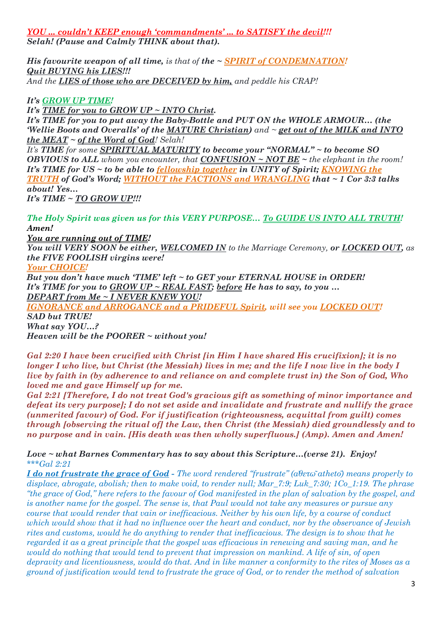*YOU ... couldn't KEEP enough 'commandments' ... to SATISFY the devil!!! Selah! (Pause and Calmly THINK about that).*

*His favourite weapon of all time, is that of the ~ SPIRIT of CONDEMNATION! Quit BUYING his LIES!!! And the LIES of those who are DECEIVED by him, and peddle his CRAP!* 

*It's GROW UP TIME!*

*It's TIME for you to GROW UP ~ INTO Christ.* 

*It's TIME for you to put away the Baby-Bottle and PUT ON the WHOLE ARMOUR… (the 'Wellie Boots and Overalls' of the MATURE Christian) and ~ get out of the MILK and INTO the MEAT ~ of the Word of God! Selah!* 

*It's TIME for some SPIRITUAL MATURITY to become your "NORMAL" ~ to become SO OBVIOUS to ALL whom you encounter, that CONFUSION ~ NOT BE ~ the elephant in the room! It's TIME for US ~ to be able to fellowship together in UNITY of Spirit; KNOWING the TRUTH of God's Word; WITHOUT the FACTIONS and WRANGLING that ~ 1 Cor 3:3 talks about! Yes… It's TIME ~ TO GROW UP!!!*

*The Holy Spirit was given us for this VERY PURPOSE… To GUIDE US INTO ALL TRUTH! Amen!*

*You are running out of TIME!* 

*You will VERY SOON be either, WELCOMED IN to the Marriage Ceremony, or LOCKED OUT, as the FIVE FOOLISH virgins were!*

*Your CHOICE!* 

*But you don't have much 'TIME' left ~ to GET your ETERNAL HOUSE in ORDER! It's TIME for you to GROW UP ~ REAL FAST; before He has to say, to you … DEPART from Me ~ I NEVER KNEW YOU!*

*IGNORANCE and ARROGANCE and a PRIDEFUL Spirit, will see you LOCKED OUT! SAD but TRUE!* 

*What say YOU…?*

*Heaven will be the POORER ~ without you!*

*Gal 2:20 I have been crucified with Christ [in Him I have shared His crucifixion]; it is no longer I who live, but Christ (the Messiah) lives in me; and the life I now live in the body I live by faith in (by adherence to and reliance on and complete trust in) the Son of God, Who loved me and gave Himself up for me.* 

*Gal 2:21 [Therefore, I do not treat God's gracious gift as something of minor importance and defeat its very purpose]; I do not set aside and invalidate and frustrate and nullify the grace (unmerited favour) of God. For if justification (righteousness, acquittal from guilt) comes through [observing the ritual of] the Law, then Christ (the Messiah) died groundlessly and to no purpose and in vain. [His death was then wholly superfluous.] (Amp). Amen and Amen!*

*Love ~ what Barnes Commentary has to say about this Scripture…(verse 21). Enjoy! \*\*\*Gal 2:21* 

*I do not frustrate the grace of God - The word rendered "frustrate" (ἀθετῶathetō) means properly to displace, abrogate, abolish; then to make void, to render null; Mar\_7:9; Luk\_7:30; 1Co\_1:19. The phrase "the grace of God," here refers to the favour of God manifested in the plan of salvation by the gospel, and is another name for the gospel. The sense is, that Paul would not take any measures or pursue any course that would render that vain or inefficacious. Neither by his own life, by a course of conduct which would show that it had no influence over the heart and conduct, nor by the observance of Jewish rites and customs, would he do anything to render that inefficacious. The design is to show that he regarded it as a great principle that the gospel was efficacious in renewing and saving man, and he would do nothing that would tend to prevent that impression on mankind. A life of sin, of open depravity and licentiousness, would do that. And in like manner a conformity to the rites of Moses as a ground of justification would tend to frustrate the grace of God, or to render the method of salvation*